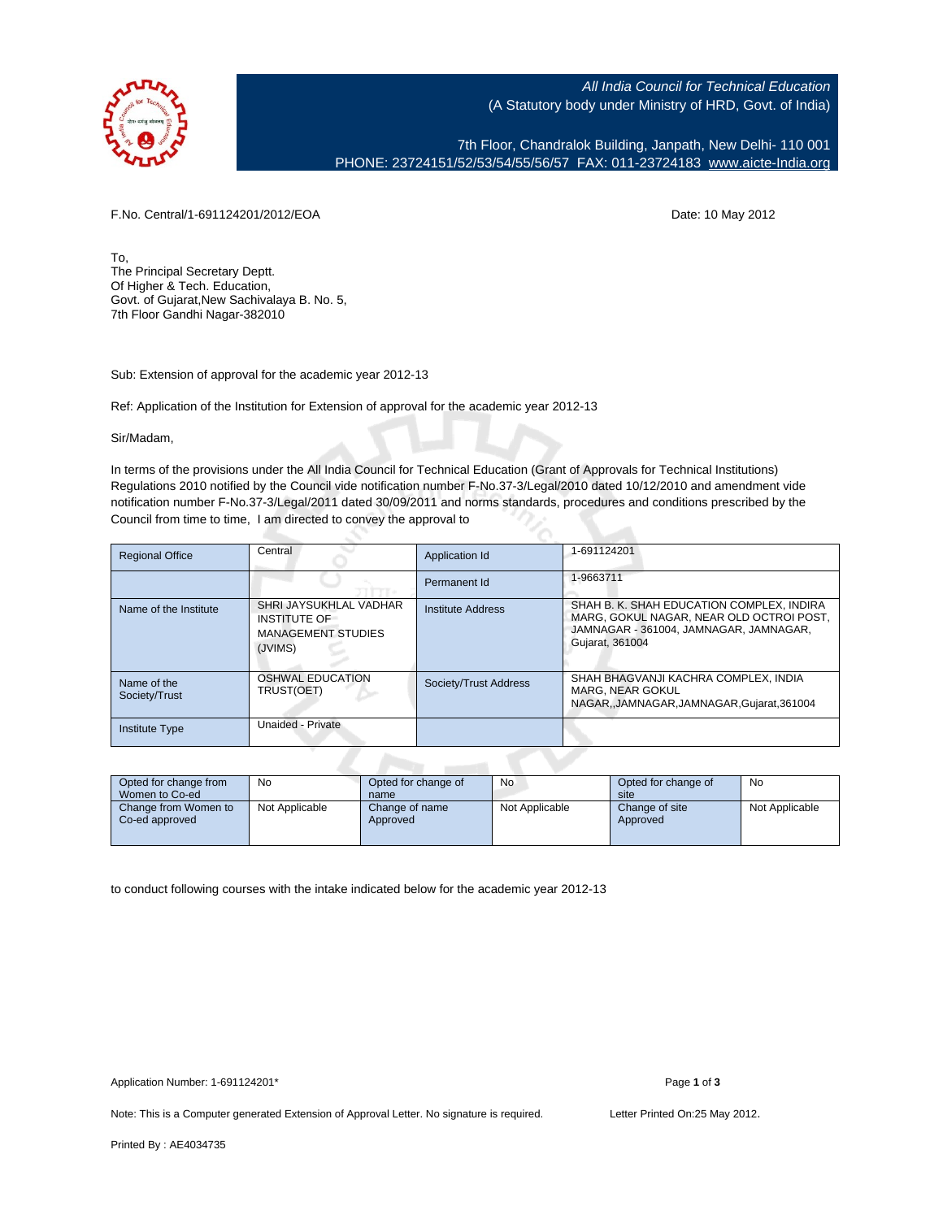

All India Council for Technical Education (A Statutory body under Ministry of HRD, Govt. of India)

7th Floor, Chandralok Building, Janpath, New Delhi- 110 001 PHONE: 23724151/52/53/54/55/56/57 FAX: 011-23724183 [www.aicte-India.org](http://www.aicte-India.org)

F.No. Central/1-691124201/2012/EOA Date: 10 May 2012

To, The Principal Secretary Deptt. Of Higher & Tech. Education, Govt. of Gujarat,New Sachivalaya B. No. 5, 7th Floor Gandhi Nagar-382010

Sub: Extension of approval for the academic year 2012-13

Ref: Application of the Institution for Extension of approval for the academic year 2012-13

Sir/Madam,

In terms of the provisions under the All India Council for Technical Education (Grant of Approvals for Technical Institutions) Regulations 2010 notified by the Council vide notification number F-No.37-3/Legal/2010 dated 10/12/2010 and amendment vide notification number F-No.37-3/Legal/2011 dated 30/09/2011 and norms standards, procedures and conditions prescribed by the Council from time to time, I am directed to convey the approval to

| <b>Regional Office</b>       | Central                                                                        | Application Id        | 1-691124201                                                                                                                                        |
|------------------------------|--------------------------------------------------------------------------------|-----------------------|----------------------------------------------------------------------------------------------------------------------------------------------------|
|                              |                                                                                | Permanent Id          | 1-9663711                                                                                                                                          |
| Name of the Institute        | SHRI JAYSUKHLAL VADHAR<br>INSTITUTE OF<br><b>MANAGEMENT STUDIES</b><br>(JVIMS) | Institute Address     | SHAH B. K. SHAH EDUCATION COMPLEX. INDIRA<br>MARG, GOKUL NAGAR, NEAR OLD OCTROI POST,<br>JAMNAGAR - 361004, JAMNAGAR, JAMNAGAR,<br>Gujarat, 361004 |
| Name of the<br>Society/Trust | OSHWAL EDUCATION<br>TRUST(OET)                                                 | Society/Trust Address | SHAH BHAGVANJI KACHRA COMPLEX, INDIA<br>MARG. NEAR GOKUL<br>NAGAR, JAMNAGAR, JAMNAGAR, Gujarat, 361004                                             |
| <b>Institute Type</b>        | Unaided - Private                                                              |                       |                                                                                                                                                    |

| Opted for change from<br>Women to Co-ed | No             | Opted for change of<br>name | No             | Opted for change of<br>site | No             |
|-----------------------------------------|----------------|-----------------------------|----------------|-----------------------------|----------------|
| Change from Women to<br>Co-ed approved  | Not Applicable | Change of name<br>Approved  | Not Applicable | Change of site<br>Approved  | Not Applicable |

to conduct following courses with the intake indicated below for the academic year 2012-13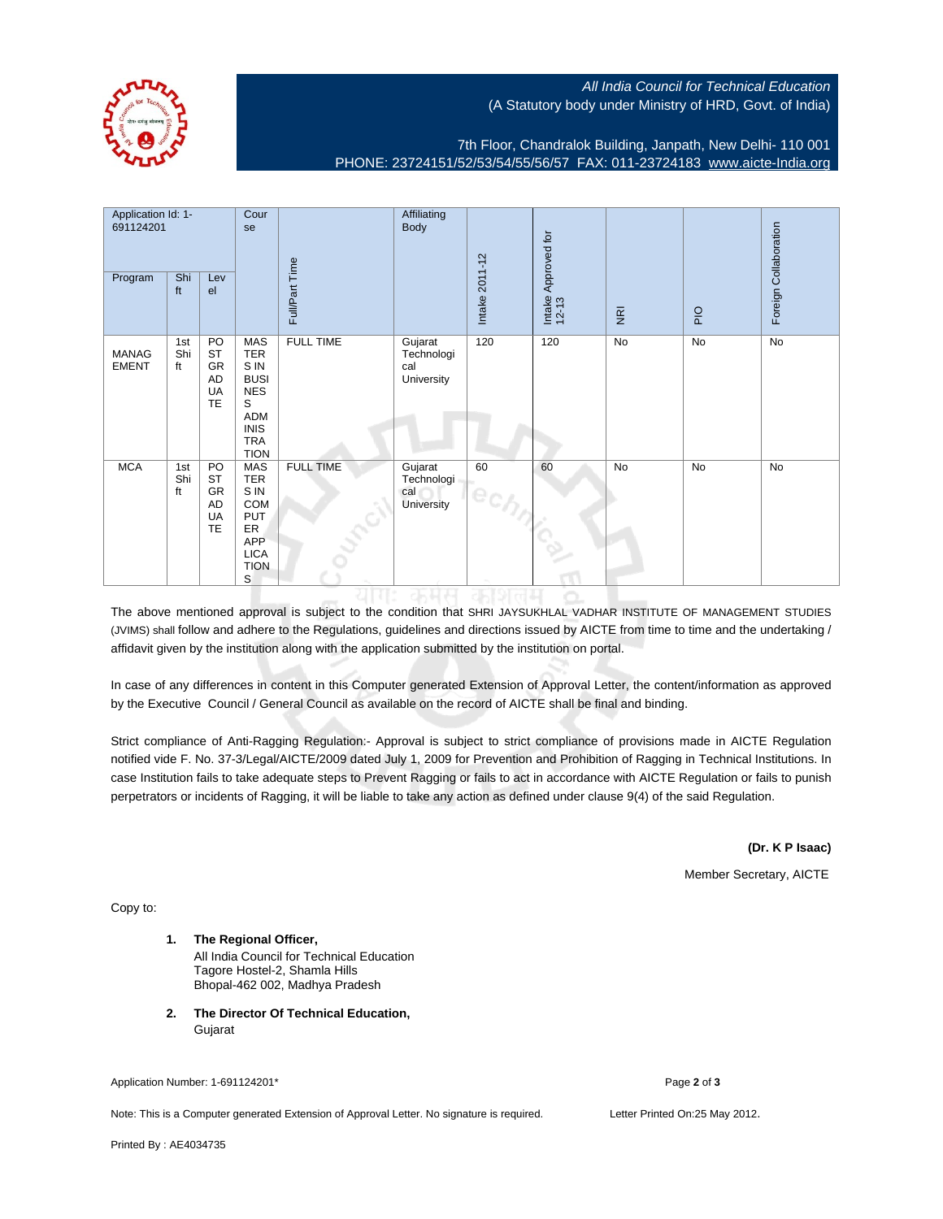

## All India Council for Technical Education (A Statutory body under Ministry of HRD, Govt. of India)

7th Floor, Chandralok Building, Janpath, New Delhi- 110 001 PHONE: 23724151/52/53/54/55/56/57 FAX: 011-23724183 [www.aicte-India.org](http://www.aicte-India.org)

| Application Id: 1-<br>691124201<br>Program | Shi<br>ft        | Lev<br>el                                             | Cour<br>se                                                                                                            | Full/Part Time   | Affiliating<br><b>Body</b>                 | Intake 2011-12 | Approved for<br>Intake<br>12-13 | $\overline{g}$ | PIO       | Foreign Collaboration |
|--------------------------------------------|------------------|-------------------------------------------------------|-----------------------------------------------------------------------------------------------------------------------|------------------|--------------------------------------------|----------------|---------------------------------|----------------|-----------|-----------------------|
| <b>MANAG</b><br><b>EMENT</b>               | 1st<br>Shi<br>ft | PO<br><b>ST</b><br>GR<br>AD<br>UA<br>TE               | <b>MAS</b><br><b>TER</b><br>S IN<br><b>BUSI</b><br><b>NES</b><br>S<br>ADM<br><b>INIS</b><br><b>TRA</b><br><b>TION</b> | <b>FULL TIME</b> | Gujarat<br>Technologi<br>cal<br>University | 120            | 120                             | No             | <b>No</b> | <b>No</b>             |
| <b>MCA</b>                                 | 1st<br>Shi<br>ft | PO<br><b>ST</b><br>GR<br><b>AD</b><br>UA<br><b>TE</b> | <b>MAS</b><br><b>TER</b><br>S IN<br><b>COM</b><br>PUT<br><b>ER</b><br><b>APP</b><br><b>LICA</b><br><b>TION</b><br>S   | <b>FULL TIME</b> | Gujarat<br>Technologi<br>cal<br>University | 60<br>$e_{C}$  | 60                              | No             | No        | No                    |

The above mentioned approval is subject to the condition that SHRI JAYSUKHLAL VADHAR INSTITUTE OF MANAGEMENT STUDIES (JVIMS) shall follow and adhere to the Regulations, guidelines and directions issued by AICTE from time to time and the undertaking / affidavit given by the institution along with the application submitted by the institution on portal.

In case of any differences in content in this Computer generated Extension of Approval Letter, the content/information as approved by the Executive Council / General Council as available on the record of AICTE shall be final and binding.

Strict compliance of Anti-Ragging Regulation:- Approval is subject to strict compliance of provisions made in AICTE Regulation notified vide F. No. 37-3/Legal/AICTE/2009 dated July 1, 2009 for Prevention and Prohibition of Ragging in Technical Institutions. In case Institution fails to take adequate steps to Prevent Ragging or fails to act in accordance with AICTE Regulation or fails to punish perpetrators or incidents of Ragging, it will be liable to take any action as defined under clause 9(4) of the said Regulation.

**(Dr. K P Isaac)**

Member Secretary, AICTE

Copy to:

- **1. The Regional Officer,** All India Council for Technical Education Tagore Hostel-2, Shamla Hills Bhopal-462 002, Madhya Pradesh
- **2. The Director Of Technical Education,** Gujarat

Application Number: 1-691124201\* Page **2** of **3**

Note: This is a Computer generated Extension of Approval Letter. No signature is required. Letter Printed On:25 May 2012.